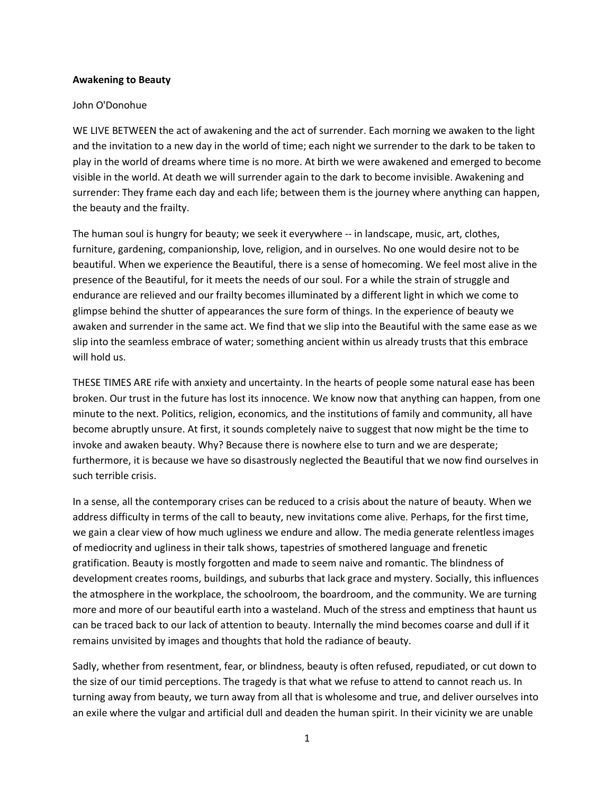## **Awakening to Beauty**

## John O'Donohue

WE LIVE BETWEEN the act of awakening and the act of surrender. Each morning we awaken to the light and the invitation to a new day in the world of time; each night we surrender to the dark to be taken to play in the world of dreams where time is no more. At birth we were awakened and emerged to become visible in the world. At death we will surrender again to the dark to become invisible. Awakening and surrender: They frame each day and each life; between them is the journey where anything can happen, the beauty and the frailty.

The human soul is hungry for beauty; we seek it everywhere -- in landscape, music, art, clothes, furniture, gardening, companionship, love, religion, and in ourselves. No one would desire not to be beautiful. When we experience the Beautiful, there is a sense of homecoming. We feel most alive in the presence of the Beautiful, for it meets the needs of our soul. For a while the strain of struggle and endurance are relieved and our frailty becomes illuminated by a different light in which we come to glimpse behind the shutter of appearances the sure form of things. In the experience of beauty we awaken and surrender in the same act. We find that we slip into the Beautiful with the same ease as we slip into the seamless embrace of water; something ancient within us already trusts that this embrace will hold us.

THESE TIMES ARE rife with anxiety and uncertainty. In the hearts of people some natural ease has been broken. Our trust in the future has lost its innocence. We know now that anything can happen, from one minute to the next. Politics, religion, economics, and the institutions of family and community, all have become abruptly unsure. At first, it sounds completely naive to suggest that now might be the time to invoke and awaken beauty. Why? Because there is nowhere else to turn and we are desperate; furthermore, it is because we have so disastrously neglected the Beautiful that we now find ourselves in such terrible crisis.

In a sense, all the contemporary crises can be reduced to a crisis about the nature of beauty. When we address difficulty in terms of the call to beauty, new invitations come alive. Perhaps, for the first time, we gain a clear view of how much ugliness we endure and allow. The media generate relentless images of mediocrity and ugliness in their talk shows, tapestries of smothered language and frenetic gratification. Beauty is mostly forgotten and made to seem naive and romantic. The blindness of development creates rooms, buildings, and suburbs that lack grace and mystery. Socially, this influences the atmosphere in the workplace, the schoolroom, the boardroom, and the community. We are turning more and more of our beautiful earth into a wasteland. Much of the stress and emptiness that haunt us can be traced back to our lack of attention to beauty. Internally the mind becomes coarse and dull if it remains unvisited by images and thoughts that hold the radiance of beauty.

Sadly, whether from resentment, fear, or blindness, beauty is often refused, repudiated, or cut down to the size of our timid perceptions. The tragedy is that what we refuse to attend to cannot reach us. In turning away from beauty, we turn away from all that is wholesome and true, and deliver ourselves into an exile where the vulgar and artificial dull and deaden the human spirit. In their vicinity we are unable